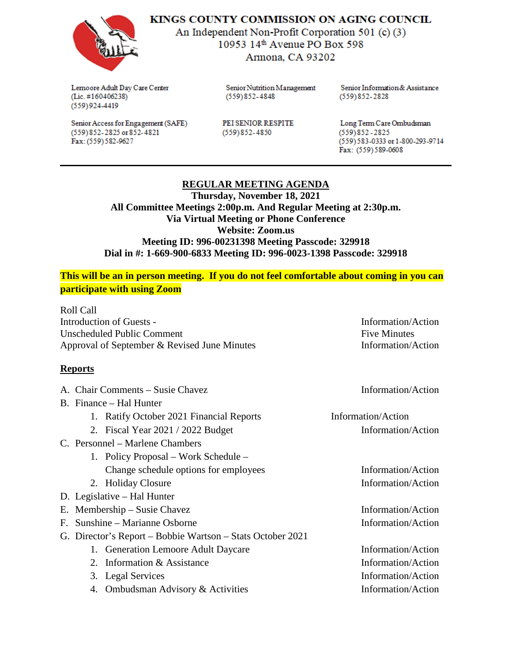

KINGS COUNTY COMMISSION ON AGING COUNCIL

An Independent Non-Profit Corporation 501 (c) (3) 10953 14th Avenue PO Box 598 Armona, CA 93202

Lemoore Adult Day Care Center  $(Lic. #160406238)$  $(559)924-4419$ 

(559) 852-2825 or 852-4821

Fax: (559) 582-9627

Senior Access for Engagement (SAFE)

Senior Nutrition Management  $(559)852 - 4848$ 

PEI SENIOR RESPITE  $(559)852 - 4850$ 

Senior Information & Assistance  $(559)852 - 2828$ 

Long Term Care Ombudsman  $(559)852 - 2825$ (559) 583-0333 or 1-800-293-9714 Fax: (559)589-0608

## **REGULAR MEETING AGENDA**

**Thursday, November 18, 2021 All Committee Meetings 2:00p.m. And Regular Meeting at 2:30p.m. Via Virtual Meeting or Phone Conference Website: Zoom.us Meeting ID: 996-00231398 Meeting Passcode: 329918 Dial in #: 1-669-900-6833 Meeting ID: 996-0023-1398 Passcode: 329918**

## **This will be an in person meeting. If you do not feel comfortable about coming in you can participate with using Zoom**

Roll Call Introduction of Guests - Information/Action Unscheduled Public Comment **Five Minutes** Five Minutes Approval of September & Revised June Minutes Information/Action

## **Reports**

| A. Chair Comments - Susie Chavez |                                                            | Information/Action |
|----------------------------------|------------------------------------------------------------|--------------------|
| B. Finance – Hal Hunter          |                                                            |                    |
|                                  | 1. Ratify October 2021 Financial Reports                   | Information/Action |
|                                  | 2. Fiscal Year 2021 / 2022 Budget                          | Information/Action |
| C. Personnel – Marlene Chambers  |                                                            |                    |
|                                  | 1. Policy Proposal – Work Schedule –                       |                    |
|                                  | Change schedule options for employees                      | Information/Action |
|                                  | 2. Holiday Closure                                         | Information/Action |
| D. Legislative – Hal Hunter      |                                                            |                    |
| E. Membership – Susie Chavez     |                                                            | Information/Action |
| F. Sunshine – Marianne Osborne   |                                                            | Information/Action |
|                                  | G. Director's Report – Bobbie Wartson – Stats October 2021 |                    |
|                                  | 1. Generation Lemoore Adult Daycare                        | Information/Action |
|                                  | 2. Information & Assistance                                | Information/Action |
|                                  | 3. Legal Services                                          | Information/Action |
|                                  | 4. Ombudsman Advisory & Activities                         | Information/Action |
|                                  |                                                            |                    |